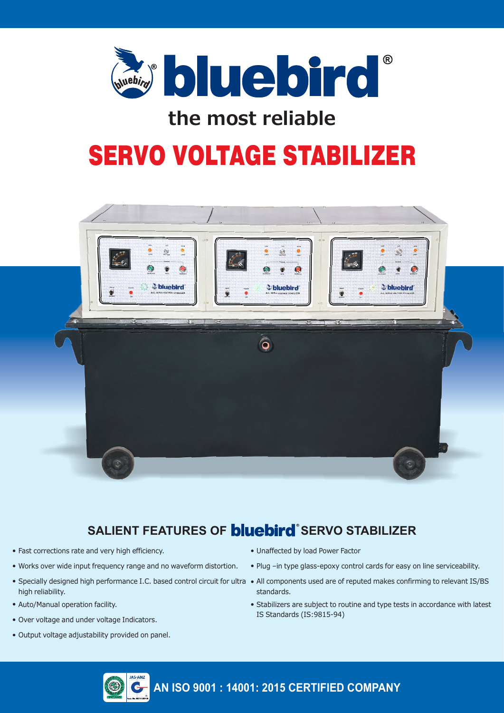

## **the most reliable**

# SERVO VOLTAGE STABILIZER



## **SALIENT FEATURES OF <b>bluebird** SERVO STABILIZER

- Fast corrections rate and very high efficiency.
- Works over wide input frequency range and no waveform distortion.
- high reliability.
- Auto/Manual operation facility.
- Over voltage and under voltage Indicators.
- Output voltage adjustability provided on panel.
- Unaffected by load Power Factor
- Plug -in type glass-epoxy control cards for easy on line serviceability.
- Specially designed high performance I.C. based control circuit for ultra All components used are of reputed makes confirming to relevant IS/BS standards.
	- Stabilizers are subject to routine and type tests in accordance with latest IS Standards (IS:9815-94)